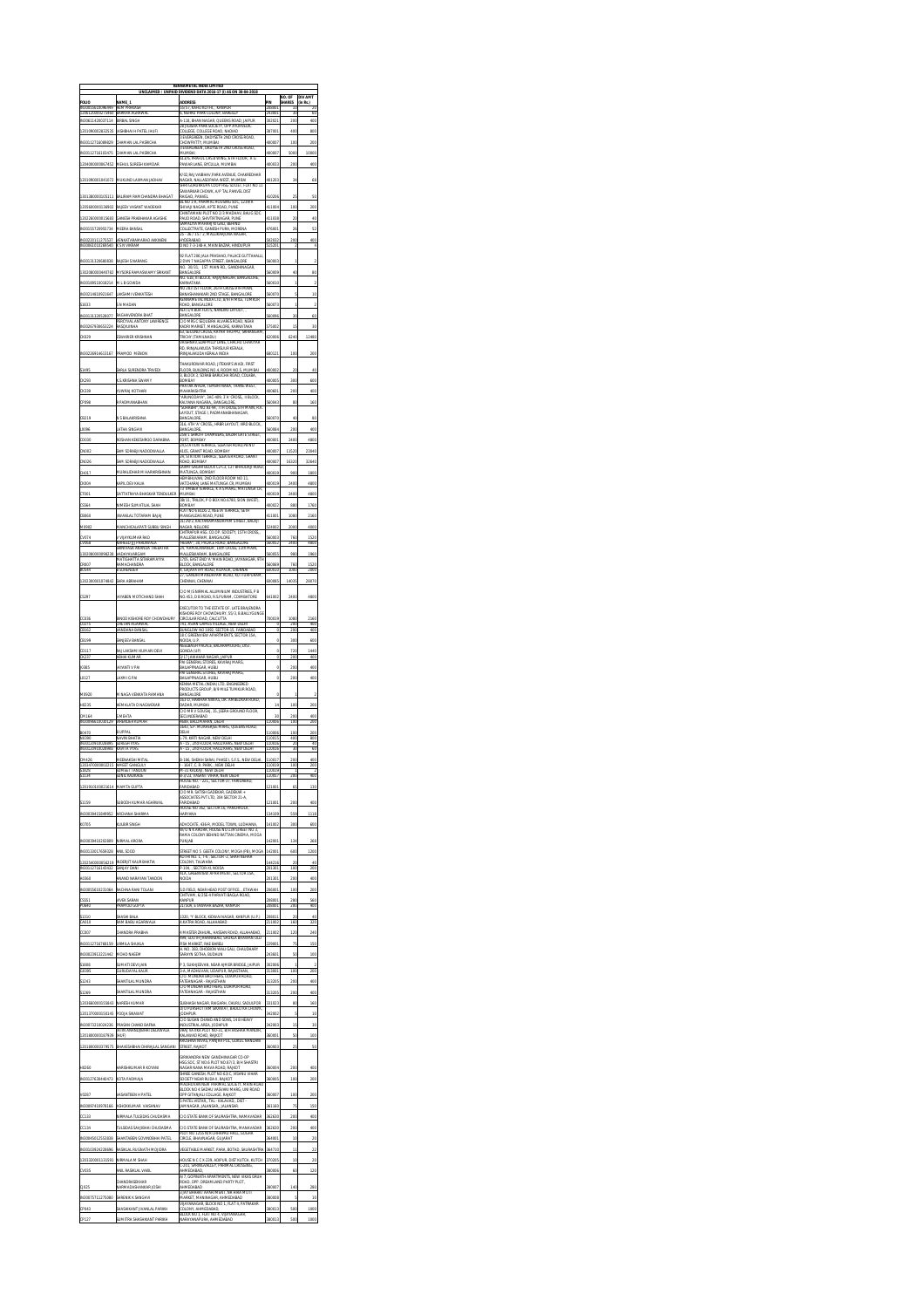|                                                  | UNCLAIMED                                                                | KENNAMETAI INDIA LIMITED<br>/ UNPAID DIVIDEND DATA 2016-17 (I) AS ON 30                                                                                                                     |                  |                          | <b>NV AM</b>         |
|--------------------------------------------------|--------------------------------------------------------------------------|---------------------------------------------------------------------------------------------------------------------------------------------------------------------------------------------|------------------|--------------------------|----------------------|
| FOLIC                                            | 253.81                                                                   | <b>IDDRESS</b><br>es reg<br>KAHU KOTHI,<br><b>XANPUE</b>                                                                                                                                    |                  | SHARES                   | (in Rs.)             |
| IN30611                                          | <b>BIRBAL</b><br>SINGH                                                   | A-118, BHAN NAGAR, QUEENS ROAD, JAIPUR                                                                                                                                                      | 02021            | 200                      | 400                  |
|                                                  |                                                                          | 28 JIGISHA PARK SOCIETY, OPP AYURVEDIC<br>28 JIGISHA PARK SOCIETY, OPP AYURVEDIC<br>COLLEGE, COLLEGE ROAD, NADIAD                                                                           |                  |                          |                      |
|                                                  |                                                                          | Z6 JIGISHA PARK SOCIETY, OPP ATORVEDIC<br>COLLEGE, COLLEGE ROAD, NADIAD<br>3 EVERGREEN, DADYSETH 2ND CROSS ROAD,                                                                            |                  |                          |                      |
| IN301                                            | CHAMAN I                                                                 | .<br>Howpatty, mumbai<br>Evergreen, dadyseth 2nd Cross<br><b>IABMUM</b>                                                                                                                     | 007              | 5000                     | 10000                |
|                                                  |                                                                          | 613/6: PRAFUL CHS B WING: 6TH FLOOR<br>ÄC<br>AWAR LANE, BYCULLA, MUMBAI                                                                                                                     |                  |                          |                      |
|                                                  |                                                                          | K/02 RAJ VAIBHAV PARK AVENUE. CHAKREDHAR                                                                                                                                                    |                  |                          |                      |
|                                                  | MUKUND LAXM                                                              | .<br>Nagar, Nallasopara West, Mumbai<br>Shri Gurukrupa Coop HSG Societ, Flat No 11                                                                                                          |                  | 34                       |                      |
|                                                  |                                                                          | SAWARKAR CHOWK, A/P TAL PANVEL DIST<br>RAIGAD, PANVEL                                                                                                                                       |                  |                          |                      |
|                                                  | RAJEEV VASANT                                                            | BL NO 1-A, PARIMAL HOUSING SOC, 1239/A<br>.<br>Shivaji nagar, apte road, pune<br>Chintamani plot no 2/3 madhav, baug soc                                                                    | 1100             | 100                      |                      |
| 1202260000015683                                 | GANESH PRABHAK                                                           | PAUD ROAD, SHIVTIRTNAGAR, PUNE                                                                                                                                                              | 411038           | $\overline{\mathbf{z}}$  |                      |
| IN30155720955734                                 | MEERA BANSA                                                              | SAMALIYA MAHARJ KI GALI / BEHIND<br>COLLECTRATE, GANESH PURA, MORENA                                                                                                                        | OO'              | $\overline{\mathcal{U}}$ |                      |
| 0220111275537<br>IN300610102                     | CANATADAAAADAC<br>VDALI                                                  | 25 - 36 / 15 / 2, MALLIKARJUNA NAGAR                                                                                                                                                        |                  | XΝ                       |                      |
|                                                  |                                                                          | D NO 7-3-148 A, MAIN BAZAR, HINDUPUR<br>92 FLAT 206 JALA PRASHAD, PALACE GUTTAHALLI                                                                                                         |                  |                          |                      |
|                                                  | RAJESH S NARAM                                                           | NAGAPPA STREET, BANGALORE<br>1ST MAIN RD., GANDHINA<br>ID. 30/31,                                                                                                                           | oo:              |                          |                      |
|                                                  |                                                                          | BANGALORE<br>.<br>TII BLOCK, RAJAJINAGAR, BANGALORE.<br>NSA.                                                                                                                                |                  |                          |                      |
|                                                  |                                                                          | ιń<br>NO 283 1ST FLOOR, 26TH CROSS 9TH MAIN,                                                                                                                                                |                  |                          |                      |
|                                                  | AKSHMI VENKATESH                                                         | .<br>BANASHANAKARI 2ND STAGE, BANGALORE<br>KENNAMETAL INDIA LTD, 8/9TH MILE, TUN                                                                                                            |                  |                          |                      |
|                                                  | S N MADAN                                                                | ROAD, BANGALORE<br><b>ALF/1/4 BDA FLATS, NANDINI LAYOUT</b>                                                                                                                                 |                  |                          |                      |
|                                                  | PERCYVAL ANTONY LAWRENCE                                                 | .<br>Bangalore<br>C/O MRS C Sequeira Alvares Road, Near                                                                                                                                     |                  |                          |                      |
|                                                  | RASQIUINHA                                                               | .<br>Gadri Market, Mangalore, Karnataka<br>13, Second Cross, Rayar Thoppu, Srira                                                                                                            |                  |                          |                      |
|                                                  | ESWARIER KRISHNAN                                                        | TRICHY (TAMILNADU)<br>VAISHNAVJEDAPPILLY LANE: CHACHU CHAKIYAR                                                                                                                              | OO!              | 5240                     |                      |
| IN30226914613167                                 | PRAMOD MENON                                                             | <b>ID, IRINIALAKUDA THRISUUR KERALA,</b><br>IRINJALAKUDA KERALA INDIA                                                                                                                       | 8012             | 100                      | 200                  |
|                                                  |                                                                          | THAKURDWAR ROAD, JITEKAR'S WADI, FIRST                                                                                                                                                      |                  |                          |                      |
| \$149                                            | <b>GARLA SURENDRA TRIVED</b>                                             | FLOOR, BUILDING NO.4, ROOM NO.5, MUMBAI<br>3, BLOCK 3, SORAB BARUCHA ROAD, COLABA,                                                                                                          | DOQ.             | $\alpha$                 | 40                   |
|                                                  |                                                                          | <b>COMBAY</b><br>HATAK WADA, TEMBHI NAKA, THANE WEST,                                                                                                                                       |                  | 30                       | 60                   |
|                                                  |                                                                          | TIRIAN<br>MAHARASHTRA<br>TARUNODAYA", 3AC-409, 3'A' CROSS, 11 BLOCK                                                                                                                         | 'n.              | 200                      |                      |
|                                                  |                                                                          | ARUNGSENT (* 1880)<br>KALYANA NAGARA († BANGALORE)<br>"SURABHI", NO.93-94, 7TH CROSS, STH MAIN, R.K<br>LAYOUT, STAGE I, PADMANABHANAGAR,                                                    |                  | 80                       | 160                  |
|                                                  |                                                                          | BANGALORE                                                                                                                                                                                   |                  |                          | 80                   |
|                                                  |                                                                          | 4TH 'A' CROSS, HRBR LAYOUT, IIRD BLOCK<br>316<br>BANGALORE                                                                                                                                  |                  | 200                      | 400                  |
|                                                  |                                                                          | 59/1 SHROFF<br>CHAMBERS, BAZA<br>FORT. BOMBAY<br><b>M STATION TERRACE: SI EATER ROAD</b>                                                                                                    | 'n               | 2400                     |                      |
|                                                  |                                                                          | 105, GRANT ROAD, BOMBAY                                                                                                                                                                     |                  | 11520                    | 23040                |
|                                                  |                                                                          | 24, STATION TERRACE, SLEATER ROAD<br><b>OAD, BOMBAY</b>                                                                                                                                     | OC.              | 16320                    | 32640                |
|                                                  |                                                                          | AXMI-SAGAR BLOCK C2-C3<br>MATUNGA, BOMBAY                                                                                                                                                   |                  | 900                      | 15                   |
|                                                  |                                                                          | WAN UNIVERSION BOOK ROOM NO 11,<br>VATCHARAJ LANE MATUNGA CR, MUMBAI<br>73 TIMBER TERRACE, K A S MARG, MATUNGA CR,                                                                          |                  | 2400                     | 4800                 |
|                                                  |                                                                          | <b>MUMBAI</b><br>TRILOK, P O BOX NO.6780, SION (                                                                                                                                            |                  | 2400                     | 4800                 |
|                                                  |                                                                          | BOMBAY                                                                                                                                                                                      |                  | 880                      | 1760                 |
|                                                  |                                                                          | .<br>NANGALDAS ROAD, NEETA TERRACE,<br>MANGALDAS ROAD, PUNE<br>.<br>MANGALDAS ROAD, PUNE<br>31/29/2, KALYANAMANDAPAM STREET                                                                 |                  | 1080                     | 2160                 |
|                                                  | HICALAPATI SUBBU SI                                                      | VAGAR, NELLORE<br>HITRA<br>ur isg. Co.or                                                                                                                                                    |                  | 00                       | 4000                 |
| CV074<br>CV069                                   | / VUAYKUMAR RAO<br>VAHEED JU PARDIW                                      | MALLESWARAM, BANGALORE<br>HEERA<br>30. PALACE ROAD, BA                                                                                                                                      | 60003<br>6005    | 760<br>2400              | 1520<br>4800         |
| 1302080000098238                                 | VADAYAVARGAM                                                             | KAMALANANDA', 18th CRO<br>MALLESWARAM, BANGALORE                                                                                                                                            | 60055            | 980                      | 1960                 |
|                                                  | MATIGHATTA SITARAMAYY<br><b>AMACHANDRA</b>                               | 1705. EAST END 'A' MAIN ROAD. JAYANA<br><b>EOCK, BANGALORE</b>                                                                                                                              |                  |                          | 1520                 |
|                                                  | <b>B SURENDER</b>                                                        | 4, GAIAPATHY ROAD, KILPAUK,<br>CHENNA<br>$\overline{1}$<br>GANDHI MANDAPAM ROAD. KOTTURPURAM                                                                                                |                  | 1000                     | 2000                 |
|                                                  | SARA ABRAHAM                                                             | HENNAI, CHENNAI                                                                                                                                                                             |                  | 14035                    | 28070                |
|                                                  | AYABEN MOTICHA                                                           | C/O M/S NIRMAL ALUMINIUM INDUSTRIES. P B<br>453, D B ROAD, R S.PURAM, COIMBATO                                                                                                              | 4100             | 2400                     | 4800                 |
|                                                  |                                                                          | EXECUTOR TO THE ESTATE OF. LATE BRAJENDRA                                                                                                                                                   |                  |                          |                      |
| CCO <sub>3</sub>                                 | BINOD KISHORE ROY C                                                      | KISHORE ROY CHOWDHURY, 55/3, B.BALLYGUNGE<br><b>IRCULAR ROAD, CALCUTTA</b>                                                                                                                  | F0001            | 1080                     | 2160                 |
| $\frac{1}{16}$                                   | MDANA RANSAI                                                             | 741, ASIAN GAMES VILLAGE, NEW DELHI<br>BUNGLOW NO 1092, SECTOR-15, FARIDABAD                                                                                                                |                  | $\frac{1}{200}$          | $\frac{1}{400}$      |
| CB195                                            | <b>NJEEV BANS</b>                                                        | <b>EENVIEW APARTMENTS, SECTOR</b><br>18 C GI<br>VOIDA U.P                                                                                                                                   |                  | 30                       | 60                   |
|                                                  |                                                                          | VEELBAGH PALACE: BALARAMDURG: DIST<br>ONDA (UP)                                                                                                                                             |                  |                          | 1440                 |
|                                                  |                                                                          | .<br>1717 JAWAHAR NAGAR, JAIPUR<br>PAI GENERAL STORES, KAVIRAJ MARG<br>1811 APPNAGAR, HUBLI                                                                                                 |                  |                          |                      |
|                                                  |                                                                          | PAI GENERAL STORES, KAVIRAJ MARG,                                                                                                                                                           |                  |                          |                      |
|                                                  | AXMI G PA                                                                | .<br>BAILAPPNAGAR, HUBLI<br>KENNA METAL (INDIA) LTD, ENGINEER<br>PRODUCTS GROUP, 8/9 MILE TUMKUR ROAD                                                                                       |                  | 200                      | 400                  |
|                                                  |                                                                          | MARGALORE<br>63-D, HARIHAR NIWAS, DR. AMBEDKA                                                                                                                                               |                  |                          |                      |
| H0235                                            | HEMALATA D NAGWEKAI                                                      | DADAR, MUMBAI<br>:<br>2/O MR V S DUSAJ, 15. JEERA GROUND F                                                                                                                                  | 14               | 100                      | 200                  |
| IN30096610030129                                 | VIRENDER KUM                                                             | <b>UNDER</b><br>4689, BALLIMARAN, DELHI                                                                                                                                                     | 110006           | 100                      | 200                  |
|                                                  |                                                                          | 1643: S.P. MUKHERJEE MARG. QUEENS ROAD                                                                                                                                                      |                  |                          |                      |
| B0470<br>N0390<br>IN30120910028<br>IN30120910028 | NAVIN BHATIA<br>SURESH VYAS                                              | 79, KIRTI NAGAR, NEW DELHI<br>2nd FLOOR: HAUZ KHAS: NEW DELI-                                                                                                                               | 110019<br>mm     | 400                      | 800                  |
|                                                  | CAVITA VYAS                                                              | 2nd FLOOR, HAUZ KHA!                                                                                                                                                                        |                  |                          |                      |
| CM426<br>120347<br>S1828<br>S1134                | <b>REENAKSHI MITA</b><br><b>SEET GANGLIE</b><br>$\overline{\phantom{a}}$ | SHEIKH SARAI, PHASE I, S.F.S., NEW DELHI<br>186<br>1647<br>F<br>PARK.<br>NEW DELH                                                                                                           | 110017<br>110019 | 200<br>100               |                      |
|                                                  | UMEET TANDON<br><b>IMI KADKADE</b>                                       | <b>M-31 KALKAJI, NEW DELHI</b><br>-3/23, VASANT VIHAR, NEW DELH<br>IOUSE NO. - 221,, SECTOR-37, FAR                                                                                         | 110019<br>most   |                          |                      |
| 1201910100021614                                 | MAMTA GUPTA                                                              | ini ist Mn<br>221<br>FARIDAPA<br>.<br>Faridabad<br>C/O MR. Satish Gadekar: Gadekar                                                                                                          | 121001           | 65                       | 130                  |
|                                                  |                                                                          | ASSOCIATES PVT LTD, 304 SECTOR 21-A                                                                                                                                                         |                  |                          |                      |
| \$1159                                           | SUBOOH KUMAR AGARW                                                       | <b>FARIDABAD</b><br>HOUSE NO 362, SECTOR 16, PANCHKULA                                                                                                                                      | 12100            | 200                      | 400                  |
| IN30039415849952                                 | ARCHANA SHARMA                                                           | HARYANA                                                                                                                                                                                     | 134105           | 559                      | 1118                 |
| K0705                                            | KULBIR SINGH                                                             | .<br>Advocate, 436-r, model town, Ludhiana<br>W/O N K Arora, House no 139 street no 3                                                                                                       | 141002           | 300                      | 600                  |
| IN3003941020                                     | NRMAL ARORA                                                              | A COLONY BEHIND RATTAN CINEMA, MOGA<br>PUNJAB                                                                                                                                               | 142001           | 134                      | 26                   |
| IN30133017659328                                 | ANIL SOOD                                                                | TREET NO 5 GEETA COLONY, MOGA (PB), MOGA                                                                                                                                                    | 14200            | 600                      | 1200                 |
| 1202540000056219<br>IN30112716143433             | INDERIT KAUR BHATM                                                       | KOTHI NO. 1, T-6 , SECTOR -2, SHAH NEHAR<br>COLONY, TALWARA                                                                                                                                 | 144216           | $\mathbf{x}$             | 4f                   |
|                                                  | ANAND NARAYAN TANDON                                                     | 41A, GREENVIEW APARTMENT, SECTOR 15A,                                                                                                                                                       | 30               | 1OC<br>200               | 200                  |
| A0360<br>IN30055610231064                        | RACHNA RANI TOLANI                                                       | NOIDA<br>S.D.FIELD, NEAR HEAD POST OFFICE,<br>, ETAWAH                                                                                                                                      | 201301<br>206001 | 100                      | 400<br>200           |
| CS551                                            | <b>ITVEK SARAN</b>                                                       | CHITVAM, 6/25E-4 PARVATI BAGLA ROAD,<br>üR                                                                                                                                                  |                  |                          |                      |
| P0640                                            | <b>RAMOD GUPTA</b>                                                       | 21/50A, ETAWAHA BAZAR, KANPUR                                                                                                                                                               | 208001           | 200                      | 400                  |
| 5131<br>CA010                                    | RAM BABU AGARWALI                                                        | Y BLOCK, KIDWAI NAGAR, KANPUR (U.P.)<br>4 KATRA ROAD, ALLAHABAD                                                                                                                             | 211002           | 160                      | À.<br>320            |
| ccoo7                                            | HANDRA PRABHA                                                            |                                                                                                                                                                                             |                  |                          | 240                  |
| IN30112716768159                                 | URMILA SHUKLA                                                            | 4 MASTER ZAHURI, HASSAN ROAD, ALLAHABAD,<br>499, SOUTH JAHANABAD, SHUKLA BHAWAN OLD<br><b>FISH MARKET RAF RARFLI</b>                                                                        | 22900            | 75                       | 150                  |
| IN30023913221442                                 | MOHD NAEEM                                                               | 383, DHOBI<br>.<br>Wi<br>VALI GALL CHAUDHAR<br>SARAYN SOTHA, BUDAUN                                                                                                                         | 243601           | 50                       | 100                  |
| \$1808                                           | <b>SUMATI DEVI JAIN</b>                                                  | 3, SUKHJEEVAN, NEAR AJMER BRIDGE, JAIPUR                                                                                                                                                    |                  |                          |                      |
| G0395                                            | SURUDAYAL KAUR                                                           | 3-A, MADHUVAN, UDAIPUR, RAJASTHAN<br>O MUNDRA RROTHERS UDAIPUR ROAD                                                                                                                         | 313001           | 100                      | 200                  |
| \$1243                                           | SHANTILAL MUNDRA                                                         | FATEHNAGAR - RAJASTHAN<br>VO MUNDRA BROTHERS, UDAIPUR ROAD,                                                                                                                                 | 313205           | 200                      | 400                  |
| \$1269                                           | HANTILAL MUNDRA                                                          | FATEHNAGAR - RAJASTHAN                                                                                                                                                                      | 313205           | 200                      | 400                  |
| 12036600001                                      | <b>VARESH KLIMAR</b>                                                     | UBHASH NAGAR, RAIGARH, CHURU, SADULPO<br>D/O PURSHOTTAM SIKAWAT, BADLO KA CHOWK                                                                                                             | 331023           | 80                       | 160                  |
| 12013700001<br>45                                | POOJA SIKAWAT                                                            | .<br>10 Sugan Chand and Sons, 14 B Heav                                                                                                                                                     | 342002           | 5                        | 10                   |
|                                                  | RASAN CHAND BAFNA<br>ATIN ANANDJIBHAI DELAWALA                           | INDUSTRIAL AREA, JODHPUR<br>VRAJ VATIKA PLOT NO-31, B/H AKSHAR MANDIR,<br>KALAWAD ROAD, RAJKOT                                                                                              | 42003            | 15                       | 30                   |
| 120180000                                        | (HUF)                                                                    | KRUSHNA NIVAS, PANJRA POL, GOKUL NANDANI                                                                                                                                                    | OO'              |                          | 10C                  |
|                                                  | BHAVESHBHAI DHIRAJLAL SANGANI                                            | STREET, RAJKOT<br>GIRIKANDRA NEW GANDHINAGAR CO-OP                                                                                                                                          | 360003           | 25                       | 50                   |
| 1201800000379575                                 |                                                                          |                                                                                                                                                                                             |                  |                          |                      |
|                                                  |                                                                          |                                                                                                                                                                                             |                  | 20                       |                      |
| H0260                                            | ARISHKUMAR R KOYAN                                                       | hsg.soc, St No.6 Plot No.8773, B/H Shastri<br>Nagar Nana Mava Road, Rakot<br>Shree Ganesh, Plot No.63/C, Vishnu Vihar                                                                       |                  |                          |                      |
| IN30127630440473 KOTA PADMAJA                    |                                                                          |                                                                                                                                                                                             | 360005           | 100                      | 200                  |
| V0287                                            | ASANTBEN H PATI                                                          | SOCIETY NEAR RUDA II, RAJKOT<br>MADHUWAN NEW PARIMAL SOCIETY, MAIN ROA<br>BLOCK NO 4 SADHU VASVANI MARG, UNI ROAD                                                                           |                  | lO)                      |                      |
| IN30097410978166                                 | ASHOKKUMAR VAISHNAV                                                      | .<br>OPP GITANIALI COLLAGE, RAIKOT<br>5 PATEL VISTAR, TAL - KALAVAD, C<br>JAMNAGAR, JALANSAR, JALANSAR.<br>DIST                                                                             | 361160           | 75                       | 150                  |
| CC133                                            |                                                                          | VO STATE BANK OF SAURASHTRA, NAMAVADAR                                                                                                                                                      |                  | 200                      | 400                  |
| CC134                                            | <b>TULSIDAS SAVJIBHAI CHUDASMA</b>                                       | VO STATE BANK OF SAURASHTRA. MA<br>WADAR                                                                                                                                                    | 2630             | 200                      | 400                  |
| IN30045012553838                                 | SHANTABEN GOVINDBHAI PATEI                                               | LOT NO<br>1255 N/R CHHAPRU HALL, GOGHA<br>CIRCLE, BHAVNAGAR, GUJARAT                                                                                                                        | 364001           | 10                       | $\overline{20}$      |
| IN30103924228696                                 | RASIKLAL RUGNATH MOJIDRA                                                 | VEGETABLE MARKET, PARA, BOTAD, SALIRASHTRA                                                                                                                                                  | 364710           | 11                       | 22                   |
| 1203320001131591                                 | <b>VIRMALA M SHAH</b>                                                    | OUSE N C C X-239, ADIPUR, DIST KUTCH, KUTCH                                                                                                                                                 | 0205             | to                       | $\overline{20}$      |
| CV035                                            | ANIL RASIKLAL VAKII                                                      | SPRINGVALLEY, PARIMAL CROSSING<br>AHMEDABAD                                                                                                                                                 | 380006           | 60                       | 120                  |
|                                                  | <b>CHAMDRA SEKHAR</b>                                                    | A/7: GOPINATH APARTMENTS: NEW VIKAS GRUH<br>ROAD, OPP. DREAMLAND PARTY PLOT,                                                                                                                |                  |                          |                      |
| CJ025                                            | NARMADASHANKAR JOS                                                       | AHMEDABAD<br><b>JAY BHARAT APARTMENT. NR HIRA MOTI</b>                                                                                                                                      | DOO'             | 140                      | 280                  |
| IN30075711275080<br>CP043                        | <b>SHRENIK K SANGHVI</b><br>SHASHIKANT JIVANLAL PAR                      | .<br>MARKET, MANINAGAR, AHMEDABAD<br>/IJAYANAGAR, BLOCK NO 1, FLAT 4, PATRAK<br>OLONY.<br>AHMEDABAD<br>UULUNT, HIIKKEMBAD,<br>BLOCK NO 1, FLAT NO 4, VUAYANAGAR,<br>NARAYANAPURA, AHMEDABAD | 008<br>01:       | ś<br>500                 | $\mathbf{R}$<br>1000 |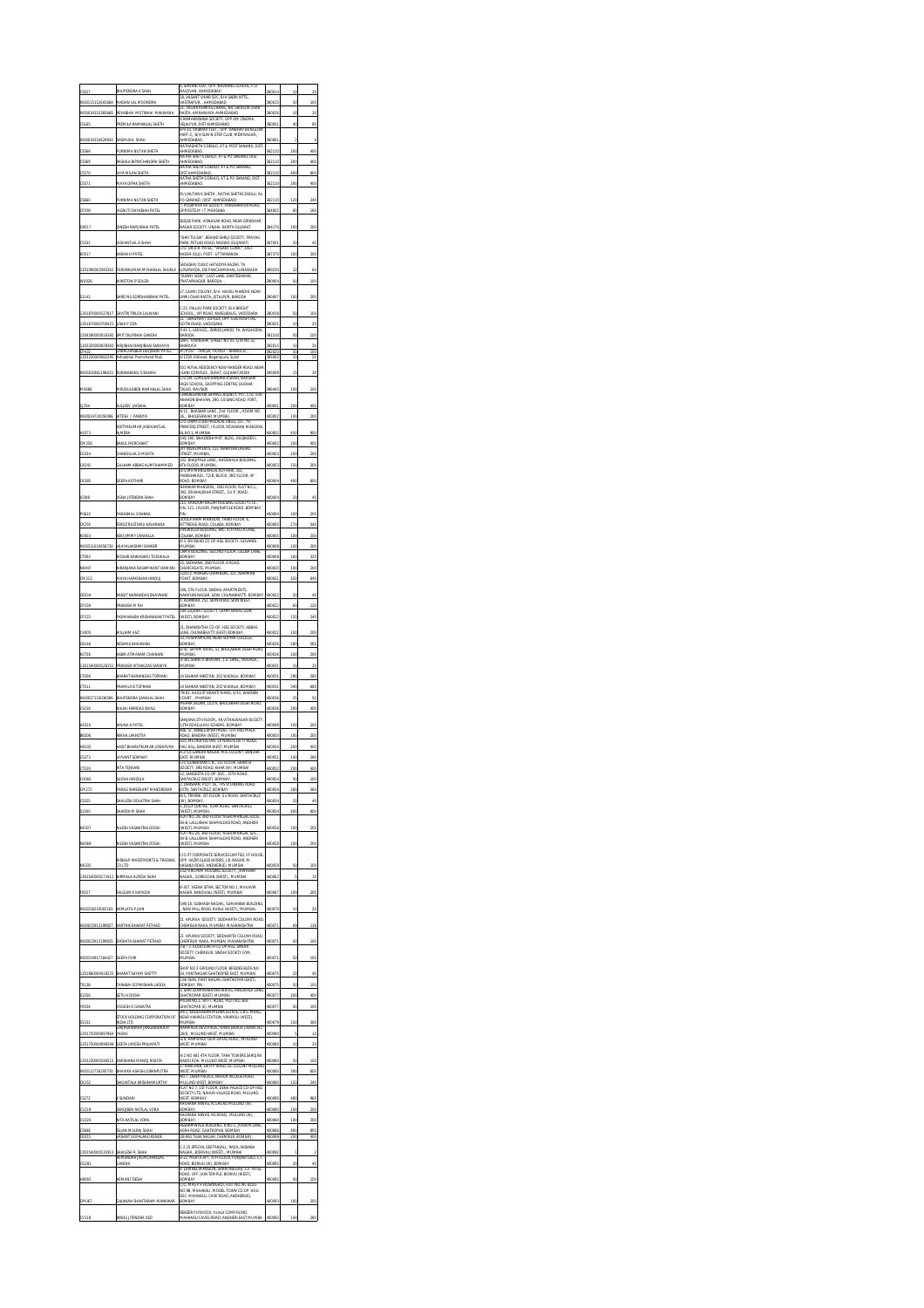|                                     |                                             | 6, SHIVANI FLAT, OPP. NAVRANG SCHOOL, P.O.                                                                                                                       |                         |                         |                 |
|-------------------------------------|---------------------------------------------|------------------------------------------------------------------------------------------------------------------------------------------------------------------|-------------------------|-------------------------|-----------------|
|                                     |                                             | NAVJIVAN.<br>AHMEDABAD<br>18. VASANT VIHAR SOC, B/H SABRI APTS                                                                                                   |                         | īd                      |                 |
| 2641668                             |                                             | VASTRAPUR<br>, AHMEDABAD<br>11. VAGHA KHIMAS CHAVAL. NR. SWASTIK CHAR                                                                                            |                         | 50                      | 100             |
|                                     | <b>IEVAS</b><br>REMILA<br>SHETH             | RASTA, AMRAIWADI, AHMEDABAD<br>4.RAMAKRISHNA SOCIETY, OPP OM CINEMA,<br><b>VEIALPUR DIST AHMEDARAD</b>                                                           |                         | to<br>u                 |                 |
|                                     |                                             | OPP. VAIBHAV BUNGLOW<br>R.G.10 VAIRHAV FLAT<br>PART-2,, B/H SUN-N-STEP CLUB, MEMNAGAR,,                                                                          |                         |                         |                 |
|                                     |                                             | <b>HAFT</b><br>840<br>VATHASHETH'S DEHLO, AT & POST SANAND, DIST                                                                                                 |                         |                         |                 |
|                                     |                                             | EDA<br>NATHA SHET'S DEHLO, AT & PO SANAND, DIST                                                                                                                  |                         |                         |                 |
|                                     | <b>IANDRA SHETH</b>                         | <b>MARTIARAD</b><br>VATHA SHETH'S DEHLO, AT & PO SANAND,                                                                                                         |                         | 200                     | 400             |
|                                     |                                             | DIST.AHMEDABAD.<br>VATHA SHETH'S DEHLO, AT & PO SANAND, DIST                                                                                                     |                         | 400                     | 80              |
|                                     |                                             | -<br>ABAD,                                                                                                                                                       |                         | 200                     |                 |
|                                     |                                             | M/s.NUTAN K.SHETH., NATHA SHETHS DEHLU, AL<br>PO-SANAND, (DIST. AHMEDABAD)<br>7, PUSHPAVATHI SOCIETY, PANDHARPUR ROAD,                                           |                         |                         |                 |
|                                     | AGRUTI DAYABHAI P                           | OPPOSITE M I T, MEHSANA                                                                                                                                          | 100                     | 80                      | 160             |
|                                     |                                             | SEEJEE PARK, VISNAGAR ROAD, NEAR GIRADHAR<br>NAGAR SOCIETY, UNIHA, NORTH GUIARAT                                                                                 |                         |                         |                 |
|                                     |                                             | SHRI TULSHI", BEHIND SHRIJI SOCIETY, PRAYAG                                                                                                                      |                         |                         |                 |
|                                     | A                                           | PARK, PETLAD ROAD, NADIAD (GUJARA<br>C/O. DR.H.R. PATEL, "VASANT CUNIC", I<br>IIC", DIST<br>DR.H.R. PATEL,                                                       |                         |                         |                 |
| 0517                                | KARAN H PATEL                               | KHEDA (GUJ), POST - UTTARSANDA                                                                                                                                   | 87370                   | 100                     | 200             |
| 1201090003393361                    | TARUNKUMAR MOHA                             | ASHIV CLINIC HATADIYA BAZAR, TA<br>LUNAWADA, DIS PANCHAMAHAL, LUNAWADA<br>"SUNNY VIEW", LAST LANE, DANTESHWAR,                                                   | 9230                    | 32                      | 64              |
|                                     | MINSTON D'SOUZA                             | RATAPNAGAR, BARODA                                                                                                                                               |                         |                         |                 |
|                                     | <b>SHREYAS GORDHANBHAI PATE</b>             | 17, LAXIVII COLONY, B/H. HAVELI MANDIR, NEAR<br>URMI CHAR RASTA, JETALPUR, BARODA                                                                                | OO.                     | 100                     | 200             |
|                                     |                                             | C-22. PALLAV PARK SOCIETY. B/H BRIGHT                                                                                                                            |                         |                         |                 |
|                                     | AVITRI TRILOK LALWANI                       | VIP ROAD, KARELIBAUC<br>vanc<br>nare<br>11, SHASHWAT DUPLEX, OPP. ESIS HOSPITAL,                                                                                 |                         | SC                      | 100             |
|                                     | JSHA P OZA                                  | TRI ROAD, VADODARA<br>3-41-1, LADVGO,, ZAROD JAROD, TA: WAGHODM                                                                                                  |                         | to                      | $\overline{20}$ |
|                                     | IRIRHAI NAN IRHAI SARVAIYA                  | GNFC TOWNSHIP. STREET NO 05. OTR NO 32<br><b>RHARUCH</b>                                                                                                         | 2015                    | 50<br>to                | 100             |
|                                     |                                             | BHARUCH,<br>/1330. Koli<br>Sura                                                                                                                                  |                         | īΰ                      |                 |
|                                     |                                             | vad, Begampura<br>501 ROYAL RESIDENCY NEW RANDER ROAD, NEAR                                                                                                      |                         |                         |                 |
|                                     | BINABANU S SHAIKH                           | JLANI COMPLEX, SURAT, GUJARAT, INDIA<br>C/O DR. LOMESHCHANDRA R SHAH, NAVSAR<br>HIGH SCHOOL, SHAPPING CENTRE, DUDHIA                                             |                         | 19                      |                 |
|                                     | MRUDULABEN RAMANLAL SHAH                    | TALAO, NAVSARI                                                                                                                                                   |                         | 100                     | 200             |
|                                     |                                             | .<br>CHAKRESHWARI SHIPING AGENCY, PVT. LTD, 109,<br>ANAHDN BHAVAN, 290, S B SING ROAD, FORT,                                                                     |                         |                         |                 |
|                                     | KULJEEV JAISWAI                             | BOMBAY<br>BHASKAR LANE , 2nd FLOOR ,, ROOM NO<br>HULESHWAR, MUMBAL<br>8/12                                                                                       | 400001                  | 200                     | 400             |
|                                     | ITESH I PANDYA<br>ADITYAKUMAR JASHVANTLAL   | C/O CHIMCO BIO-MEDICAL ENGG. CO.,<br>79.<br>PRINCESS STREET, I FLOOR, DEVKARAN MANSION                                                                           |                         | 10                      |                 |
|                                     | ERA                                         | 145/190, SWADESHI MKT. BLDG., KALBADEVI.                                                                                                                         |                         | 450                     |                 |
|                                     | AKUL MERCHANT                               | <b>COMBAY</b><br>VY INVESTMENTS, 122, NARAYAN DHURU                                                                                                              |                         | 200                     | 400             |
|                                     | CHANDULAL D MEHTA                           | STREET.<br>MUMBAI.<br>102, BHAIPALA LANE,, RASSIWALA BUILDING                                                                                                    | 000                     | 100                     | 200             |
|                                     | SULAAM ABBAS ALIM                           | TH FLOOR, MUMBAI,<br>D/O MR MANSUKHLAL KOTHARI, 202,                                                                                                             |                         | 150                     | 30              |
|                                     | KOTHAR                                      | PAREKHWADI,, 72/B, BLOCK, 3RD FLOOR, VP<br><b>BOMBAY</b><br>ROAD                                                                                                 |                         | 40                      | 800             |
|                                     |                                             | SHANKAR MANSION,, 2ND FLOOR, FLAT NO.1,,<br>392, DR BHAJEKAR STREET, S.V.P. ROAD,                                                                                |                         |                         |                 |
|                                     | IGNA JITENDRA SHAH                          | <b>BOMBAY</b><br>215, KANDORI NAGAR HOUSING SOCIETY LTD.                                                                                                         | 400004                  | $\overline{\mathbf{z}}$ | 40              |
|                                     |                                             | R.N. 121, I FLOOR, PANJRAPOLE ROAD, BOMBAY,                                                                                                                      |                         | 100                     |                 |
|                                     |                                             | DOULATRAM MANSION, THIRD FLOOR, 6,<br>KITTRIDGE ROAD, COLABA, BOMBAY<br>KITTRIDGE ROAD, COLABA, BOMBAY<br>PIPEWALLA BUILDING, B45, 4TH PASTA LANE                |                         | 270                     | 540             |
|                                     |                                             | OLABA, BOMB<br>4/3. SRI SWAD CO OP HSG SOCIETY. GOVANDI                                                                                                          |                         | 100                     | 200             |
|                                     |                                             | <b>MIMBAL</b><br><b>CAMA BUILDING, SECOND FLOOR, GILDER CAN</b>                                                                                                  |                         | 100                     | 200             |
|                                     |                                             | BOMBAY                                                                                                                                                           |                         | 160                     |                 |
|                                     |                                             | DONNAN<br>25, SADHANA, 2ND FLOOR, B ROAD,<br>CHURCHGATE, MUMBAI,<br>1201/2, MAKERS CHAMBERS, 221, NARIMAN                                                        |                         | 10                      |                 |
|                                     |                                             | POINT, BOMBAY,                                                                                                                                                   |                         | 320                     | 640             |
|                                     |                                             | 508, 5TH FLOOR, SINDHU APARTMENTS,<br>NARAYAN NAGAR, SION, CHUNARHATTI, BOM<br>NARAYAN NAGAR, SION, CHUNARHATTI, BOM<br>5, ALANKAR, 251, SION ROAD, SION WEST,   |                         | $\overline{\mathbf{x}}$ | 40              |
|                                     |                                             | BOMBAY,                                                                                                                                                          |                         | 60                      | 120             |
|                                     |                                             | 194 GUJARAT SOCIETY, LAXMI NIWAS SION<br>(WEST), BOMBAY                                                                                                          |                         |                         |                 |
|                                     |                                             | 21. DHANISHTHA CO-OP. HSG SOCIETY. ABBAS                                                                                                                         |                         | 10                      | 20C             |
|                                     |                                             | .<br>LANE, CHUNABHATTI (EAST) BOMBAY,<br>33, PUSHPAMILAN, NEAR SOPHIA COLLEGE<br><b>COMBAY</b>                                                                   |                         | 280                     | 560             |
|                                     |                                             |                                                                                                                                                                  |                         |                         |                 |
|                                     | KABIR                                       | 742<br>SHYAM NIVAS, 51, BHULABHAI DE<br>MUMBAI,                                                                                                                  | 0026                    | 100                     | 200             |
|                                     |                                             | 3/301, SHANTA BHAVAN, J.D. LANE, WADALA<br><b>IABMUM</b>                                                                                                         |                         | Ι¢                      | 20              |
|                                     |                                             | 14 SAHKAR NIKETAN, 202 WADALA, BOMBAY                                                                                                                            | R٦                      | 290                     | 580             |
|                                     | PRAMILA B TOPRANI                           | 14 SAHKAR NIKETAN.<br>202 WADALA<br><b>BOMBAY</b>                                                                                                                | 400031                  | 340                     | 680             |
| 27110036596                         | BHUPENDRA<br>SANALAL SHAH                   | 79/81, AUGUST KRANTI MARG, 4/41, WARDEN<br>COURT<br>MUMBAI<br>VEHRA SADAN, 102/A, BHULABHAI DESAI ROAD,                                                          | 400036                  | $\overline{2}$          | 50              |
|                                     | VALINI HARIDAS SWA                          | BOMBAY                                                                                                                                                           | 003                     | 200                     | ax              |
|                                     | A PATE                                      | ANJANA, STH FLOOR,, 49, VITHALNAGAR SOCIETY,                                                                                                                     |                         | 100                     |                 |
|                                     |                                             | .<br>13TH ROAD, JUHU SCHEME, BOMBAY<br>406, ST. ANNES APARTMENT, OFF PALI MALA<br><b>ROAD, BANDRA (WEST), MUMB</b>                                               |                         | 100                     | 200             |
|                                     |                                             | A10, METROPOLITAN, 20 NARGIS DUTT ROAD<br>PALLHILL<br>BANDRA WEST. MUMBAL                                                                                        |                         | 200                     | 400             |
|                                     |                                             | 2/10 GANDHI NAGAR, MIG COLONY,<br><b>FAST MEMBAL</b>                                                                                                             |                         | 140                     |                 |
|                                     |                                             |                                                                                                                                                                  |                         | 200                     |                 |
|                                     |                                             | EAST, MUMBA<br>C/O GURBAXANI C.N., 1ST FLOOR, SHANTA<br>SOCIETY, 3RD ROAD, KHAR (W), MUMBAI<br>12, SANGEETA CO-OP. SOC., 15TH ROAD,<br>Ō.<br>TPS VI LINKING ROAD |                         |                         |                 |
| CM272                               | PARAG SHREEKANT MANDREKAR                   | HAN, PLOT<br>RSHAN, PLOT 16., TPS V<br>SANTACRUZ, BOMBAY<br>EXTN,<br>.<br>B/5, TRIVENI, IST FLOOR, S V ROAD, SANTACRUZ                                           | 40005                   | 280                     | 560             |
| CS32                                | HAILESH DOLATRAI SHAH                       | (W)<br>.<br>5, JOLLY CENTRE, TILAK ROAD, SANTACRUJ                                                                                                               |                         |                         | 40              |
|                                     | HARDA M SHAH                                | (WEST), MUMBAL<br>3RD FLOOR YESH<br>LAT NO<br>84-B. LALLUBHAI SHAMALDAS ROAD, ANDHERI                                                                            |                         |                         | 80              |
| NO307                               | VILESH VASANTRAI DO                         | (WEST), MUMBAI                                                                                                                                                   |                         | 100                     | 200             |
| NO369                               | ILESH VASANTRAI DOSH                        | LAT NO.28, 3RD FLOOR, YESHOMANGAL<br>84-B, LALLUBHAI SHAMALDAS ROAD, ANDHERI<br>(WEST), MUMBAI                                                                   |                         | 100                     | 200             |
|                                     |                                             | C/O IIT CORPORATE SERVICES LIMITED. IIT HOUSE                                                                                                                    |                         |                         |                 |
| NO335                               | NISKALP INVESTMENTS & TRADING<br>COLTD      | OPP. VAZIR GLASS WORKS, J.B. NAGAR, M.<br>VASANJ ROAD, ANDHERIJE), MUMBAL                                                                                        | 400059                  | 50                      | 100             |
| 1301540000173411                    | <b>VRMALA ALPESH SHAH</b>                   | 152/9, RUPAM HOUSING SOCIETY, , JAWAHAR<br>NAGAR,, GOREGOAN (WEST),, MUMBAL                                                                                      | m6                      | ś                       | 10              |
|                                     |                                             | B-307, VEENA SITAR, SECTOR NO.1, MAVAVIR                                                                                                                         |                         | 100                     | 200             |
| F0027                               | .<br>FALGUNI K KAPADIA                      | NAGAR, KANDIVALI (WEST), MUMBAI<br>49/18, SUBHASH NAGAR,, SUMARIBAI BUILDING                                                                                     |                         |                         |                 |
| IN3025821000<br>165                 | <b>EMLATA P JAIN</b>                        | NEW MILL ROAD, KURLA (WEST)., MUMBAI                                                                                                                             |                         | to                      | $\overline{20}$ |
| IN30023913199827                    | CARTHIK BHARAT PETHAL                       | MPURVA SOCIETY, SIDDHARTH COLONY ROAD<br>HEMBUR NAKA, MUMBAI MAHARASHTRA                                                                                         |                         | 65                      | 138             |
|                                     |                                             | APURVA SOCIETY, SIDDHARTH COLONY ROAD,                                                                                                                           |                         |                         |                 |
| N30023913199835                     | <b>DIKSHITA RHARAT PETHA</b>                |                                                                                                                                                                  |                         | S.                      | 100             |
| IN30154917184427                    | DEEPA PURI                                  | .<br>CHEMBUR NAKA, MUMBAL MAHARASHTRI<br>3 B / 3, GOOD EARTH CO OP HSG, SINDHI<br>SOCIETY, CHEMBUR, SINDHI SOCIETY GYM,<br><b>MUMBAI</b>                         |                         | S.                      | 100             |
| 1201860000419225                    | BHARAT SHYAM SHETTY                         | O 3 GROUND FLOOR, BESIDES BLDG NO<br>54, PANTNAGAR GHATKOPER EAST, MUMBAI                                                                                        | 400075                  | $\alpha$                | 40              |
| T0138                               | ARABAI GOPIKISHAN LADDA                     | 134/3646, PANT NAGAR, GHATKOPAR (EAST).                                                                                                                          |                         |                         | 100             |
| 51358                               | SETU H DOSHI                                | 3, SHRI LAXMINARAYAN NIWAS, HINGWALA LANE                                                                                                                        | 40007                   |                         | 400             |
| 10034                               | YOGESH D GANATRA                            | SHATKOPAR (EAST), MUMBAL<br>VILAN NO.1, 90 FT. ROAD, PLOT NO.169,                                                                                                | 400077                  | 50                      | 100             |
|                                     | CK HOLDING CORPORATION OF                   | .<br>GHATKOPAR (E), MUMBAI<br>44/1, KALICHARAN MEHRA ESTATE, L.B.S. MARG<br>NEAR VIKHROLI STATION, VIKHROLI (WEST),                                              |                         |                         |                 |
| 51332                               | NDIA LTD<br><b>GIRJASHANKAR JANGBAHADUR</b> | <b>IABMUM</b><br>NARMADA DEVI PADA,, NANA BHAGA CHAWL NO                                                                                                         | 400079                  | 150                     | 300             |
| 120175000009<br>1201750000099<br>49 | YADAV<br>GEETA UMESH PRAJAPATI              | 28/8., MULUND-WEST, MUMBAL<br>G/8, RAMWADI, DEVI DAYAL ROAD,, MULUND<br>WEST, MUMBAI                                                                             | 400080<br><b>Innner</b> | to                      | 10<br>20        |
|                                     |                                             | A/2 NO 401 4TH FLOOR, TARA TOWERS SAROJINI                                                                                                                       |                         |                         |                 |
| 1203230000246515                    | DARSHANA MANOJ MEHTA                        | .<br>Naidu Roa, Mulund West, Mumbai<br>17 Kanchan, Dr R P Road, Lic Colony Mulund                                                                                |                         | 50                      | 100             |
| N30112716200730                     | BHAVIKA ASHISH JOBANPUTRA                   | NEST, MUMBAI<br>NO 7: DENA PALACE: NAHUR VILLAGE ROAD                                                                                                            | 400080                  | 300                     | 600             |
| CK152                               | AKUNTALA KRISHNAMURTI                       | MILLIND WEST ROMBAY<br>FLAT NO 7, 1ST FLOOR, DENA PALACE CO-OP HSG                                                                                               | 400080                  | 120                     | 240             |
| CS272                               | K SUNDARI                                   | SOCIETY LTD. NAHUR VILLAGE ROAD. MULUND                                                                                                                          | 400080                  | 480                     | 960             |
| CV219                               | ARQJBEN RATILAL VORA                        | WEST, BOMBAY<br>KHURANA NINAS, N.S.ROAD MULUND (V<br>BOMBAY                                                                                                      | <b>MODA</b>             | 100                     | 200             |
| CV220                               | <b>IITA RATILAL VORA</b>                    | KHURANA NIWAS, NS ROAD, MULUND (W)                                                                                                                               |                         | 10                      | 200             |
| 33.82                               | <b>CHAN MITRA I SHAH</b>                    | ESHAMWALA BUILDING, R.NO.1, JIVDAYA LANE<br>GHATKOPAR, BOMBAY<br>AGRA ROAD<br><b>83 TILAK NAGAR, CHEMBUR, BOM</b>                                                | 4000BF                  | 40F<br>200              | 800<br>œ        |
| CS848<br>CK015                      | (ASANT GOPALRAD KEND                        | C-2,15,SPECIAL GEETANJALI,, RAJUL, SAIBABA                                                                                                                       |                         |                         |                 |
| 1301540                             | shailesh r. Shah<br>Hemendra Jagmohandas    | NAGAR,, BORIVALI (WEST),, MUMBAI<br>B-22, MEHTA APT, 4TH FLOOR, PUNJABI GALI, L.T                                                                                |                         |                         |                 |
| CG281                               | <b>HOWS</b>                                 | .<br>Road, Bornu (W), Bombay<br>4, Lawnel Mansion, Shantinagar,                                                                                                  | 400092                  | $\overline{\mathbf{z}}$ | 40              |
| HDDB3                               | <b>EMANT DESA</b>                           | ROAD, OFF: JAIN TEMPLE, BORIVLI (WEST),<br>BOMBAY                                                                                                                |                         |                         | 100             |
|                                     |                                             | .<br>IS P R HOSANGADI, FLAT NO.4A, BLD<br>NO.9B, MAHAKALI, MODEL TOWN CO.OP. HOU.                                                                                |                         |                         |                 |
| CM067                               | GAJANAN SHANTARAM MANKIKAR                  | <b>SOC. MAHAKALI, CAVE ROAD, ANDHERI(E),</b><br>BENZER PLYWOOD, 4 LALA COMPOUND                                                                                  | 400093                  | 100                     | 200             |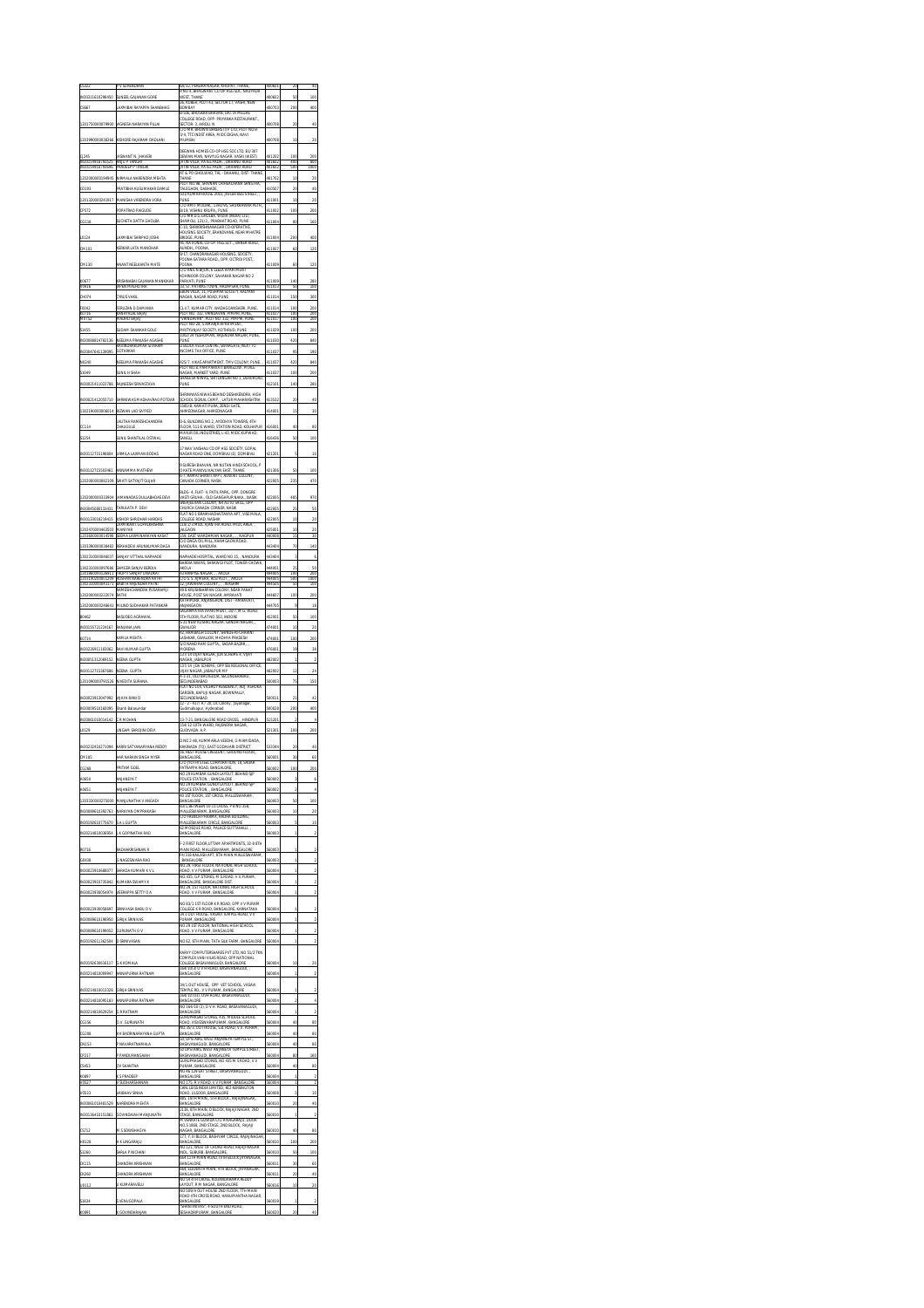|                                    |                                                                   | A/32. PEREIRA NAGAR, KHOPAT<br>THANE<br>R NO 4, BHAGWANT CO OP HSG SOC, NAUPA                                                                          |                            |                      |                         |
|------------------------------------|-------------------------------------------------------------------|--------------------------------------------------------------------------------------------------------------------------------------------------------|----------------------------|----------------------|-------------------------|
|                                    |                                                                   | WEST, THANE<br>26. KUBER, PLOT 43. SECTOR 17. VASHI, NEW                                                                                               |                            |                      |                         |
|                                    |                                                                   | RN<br><b>ABAY</b><br>B-506, BHOSKAR BHAVAN, DATTA MEGHI                                                                                                |                            | 20î                  |                         |
|                                    | <b><i>ITGNESH NAF</i></b>                                         | COLLEGE ROAD, OPP- PRIYANKA RESTAURANT.<br><b>SECTOR- 3. AIROLI, N</b><br>C/O MR. BROWN BAKERS (I) P LTD, PLOT NO B                                    |                            |                      |                         |
|                                    | ISHORE RAJARAM D                                                  | 3/4, TTC INDST AREA, MIDC DIGHA, NAVI<br>w                                                                                                             |                            | ĭċ                   |                         |
|                                    |                                                                   | JEEWAN HOMES CO-OP HSG SOC LTD, B1/307                                                                                                                 |                            |                      |                         |
| IN301<br>satomas                   | ASWANT N. JHAVER<br>ANJU P TANGRI<br>PRADEEP P TAN<br><b>TANO</b> | DEWAN MAN, NAVYUG NAGAR, VASAI (WEST)<br>IATIN VILLA, PATEL PADA, , DAHANU ROAD<br>IATIN VILLA, PATEL PADA, , DAHANU ROAD                              | 101202<br>101407<br>401602 | m                    | anr                     |
|                                    | VIRMALA NARENDRA                                                  | AT & PO GHOLWAD, TAL - DAHANU, DIST<br>THANE                                                                                                           | 401702                     | to                   |                         |
|                                    | PRATIRHA KIISIMA                                                  | NO.9B, SHIVN<br>AN CRIHEACHANA SA<br>TALEGAON, DABHADE                                                                                                 |                            |                      |                         |
|                                    |                                                                   | 501/KUMAR HOUSE 2010, JAFLER BEG STREE                                                                                                                 |                            |                      |                         |
|                                    |                                                                   | C/O AMIT MODAK, 1393/95, SHUKRAWAR PETH,<br>B/19, VISHNU KRUPA, PUNE<br>C/O MR D.G.GHOLBA, VIDIA (INDIA) L                                             | 100                        | 100                  |                         |
|                                    | SUCHETA DATTA                                                     | HAMOLI, 121/2., PRABHAT ROAD, PUNE<br>-10, SHRIKRISHNANAGAR CO-OPERATIVE                                                                               | 411004                     | 80                   | 160                     |
|                                    | AXMIBAI SHRIPAD                                                   | <b>ROUSING SOCIETY, ERANDVANE, NEAR MHATRE</b><br>BRIDGE, PUNE                                                                                         | 411004                     | 200                  | 400                     |
|                                    |                                                                   | 95, NATIONAL CO-OP. HSG.SCY BANER ROA<br>AUNDH., POONA,<br>9/17, CHANDRANAGAR HOUSING, SOCIETY,                                                        |                            |                      | 120                     |
|                                    | <b>MANT NEELKANTH MA</b>                                          | POONA-SATARA ROAD,, OPP. OCTROI POST,                                                                                                                  |                            |                      | 120                     |
|                                    |                                                                   | <b>DONA</b><br>VO ANIL N BLIUR, 6 LEELA APARTMENT<br>KOHINOOR COLONY, SAHAKAR NAGAR NO 2                                                               | 1009                       | 60                   |                         |
| KO677<br>VD416                     | ISHNABAI GAJANAN MA<br>VIPEN MALHOTRA                             | ARVATI, PUNE<br>ST. PATRIKS TOWN, HADAPSAR, PUNE<br>33                                                                                                 | 100<br>411013              | 50                   | 280<br>100              |
| CHO74                              | <b><i>IYRUS VAKIL</i></b>                                         | <b>EBON VILLA, 11, PUSHPAK SOCIETY, KALYANI</b><br>NAGAR, NAGAR ROAD, PUNE                                                                             | 411014                     | 150                  | 300                     |
| F0042<br>KO716                     | ERUZAN D DAMANIA<br>ayar ar<br>BAIAI                              | 3. I/7, KUMAR CITY, WADAGOANSHERI, PUNE<br>"LOT NO. 332, VRINDAVAN, PIMPRI, PUNE,                                                                      | 411014                     | 10f<br>ïΩ            | $\overline{\mathbf{x}}$ |
| M0752                              | AADHU BAJAJ                                                       | VRINDAVAN", PLOT NO. 332, PIMPRI, PUI                                                                                                                  | 411017                     | 100                  | 200                     |
|                                    | SUDAM SHANKAR GOLE<br>VEELIMA PRAKASH AG<br>ASHE                  | .<br>PLOT NO-28, 5 AMARJA APARTMENT<br>MRITYUNJAY SOCIETY, KOTHRUD, PL<br>1002/34 YESHOMAN, RAJENDRA NAI<br><b>PUM</b><br><b>UNE</b>                   |                            | 100<br>420           | 200<br>840              |
|                                    | RAVINDRAKUMAR SITARAM<br>OTARKAR                                  | D BLOCK VEGA CENTRE, SWARGATE, NEXT<br>NCOME TAX OFFICE, PUNE                                                                                          |                            | 93                   | 190                     |
|                                    | NEELIMA PRAKASH AGASHE                                            | 425/7, VIKAS APARTMENT, TMV COLONY, PUNE<br>PLOT NO.8, PARI PARVATI BANGLOW, PITALE                                                                    |                            | 420                  | 840                     |
|                                    | UNIL H SHAH                                                       | NAGAR, MARKET YARD, PUNE<br>SHAILESH NIWAS, SHITLANGAR NO 1, DEHUI                                                                                     |                            | 10f                  |                         |
|                                    | NEESH SRIVASTAVA                                                  |                                                                                                                                                        |                            |                      |                         |
|                                    |                                                                   | NUMBER OF A STREET OF SAME A WAS 24 WINDOW<br><b><i>RASHTR</i></b>                                                                                     |                            |                      |                         |
|                                    | LAD SAYYED                                                        | SCHOOL SIGNAL CAMP., LATUR MAR<br>1585/B, KAMATI PURA, ZENDI GATE,<br><b>VHMEDNAGAR, AHMEDNAGAR</b>                                                    |                            |                      |                         |
|                                    | LALITHA RAMESHCHANDRA                                             | <b>D-6. BUILDING NO.2. AYODHYA TOWERS, 4TH</b>                                                                                                         |                            |                      |                         |
|                                    | CHAUGULE                                                          | FLOOR, 511-E WARD, STATION ROAD, KOLHA<br>ANVUR OIL INDUSTRIES, L-43, MIDC KUPWAD,                                                                     | 416436                     |                      |                         |
|                                    | SUNIL SHANTILAL OSTWA                                             | SANGLI<br>7 NAV VAISHALI CO OP HSG SOCIETY, GOPAL                                                                                                      |                            | 50                   | 100                     |
|                                    | URMILA LAXMAN BODA                                                | NAGAR ROAD ONE, DOMBIVLI (E), DOMBIVLI                                                                                                                 | 421201                     | ś                    | x                       |
| N30112715503461                    | ANNAMMA MATHEW                                                    | 9 SURESH BHAVAN, NR NUTAN HINDI SCHOOL, P<br>O KATE MANIVLI KALYAN EAST, THANE<br>6-7, RAMAI SHANTI APPT, ADWAIT COLONY                                | 21306                      | 50                   | 100                     |
|                                    | WATI SATYAJIT GUJAR                                               | <b>CANADA CORNER, NASIK</b>                                                                                                                            |                            |                      | 471                     |
|                                    | AMANADAS DULLABHDA                                                | BLDG- 4. FLAT- 4. PATIL PARK OPP. DONGRE                                                                                                               |                            | 48                   | 970                     |
|                                    | ARULATA P. DEVI                                                   | VASTI GRUHA, OLD GANGAPUR NAKA, NASIK<br>VASTI GRUHA, OLD GANGAPUR NAKA, NASIK<br>SNEHJEEVAN COLONY, NR AUTO SHILL, OPP<br>CHURCH CANADA CORNER, NASIK |                            | $\overline{z}$       | 50                      |
|                                    | KISHOR SHRIDHAR HARDA!                                            | LAT NO 1 BRAMHACHAITANYA APT, VISE MAL<br>COLLEGE ROAD, NASHIK                                                                                         |                            | īΰ                   |                         |
|                                    | AXMIKANT GO<br>MANTYAR<br>SEEMA LAX                               | 118/2/3 MIDC AIANTHA ROAD. MIDC AREA<br>ialgadn<br>159, east wardhman Nagar,                                                                           | soo<br>OOE                 | tr.                  |                         |
|                                    | <b>EXHADE</b>                                                     | C/O DAGA OIL MILL, KHAMGAON ROAD,<br>NANDURA, NANDURA                                                                                                  | 40                         | 15<br>$\overline{R}$ |                         |
|                                    | <b>NJAY VITTHAI</b><br><b>NAPH</b>                                | WARD NO 15<br>VAPHADE HOSPITAL<br><b>NANDUR</b>                                                                                                        |                            |                      |                         |
|                                    | EER SANJIV BERDI                                                  | BARDIA NIWAS, SHRAWGI PLOT, TOWER CHOWN<br>NARDIA NIWAS, SHRAWGI PLOT, TOWER CHOWN                                                                     |                            |                      |                         |
| וו                                 | TRUPTI SANJAY UNADKAT<br><b>TOSHAN NARENDRA RATHI</b>             | 43 RANPISE NAGAR<br>AKOLA<br>.<br>20 S. S. AIMERA, ALSI PLOT, , AKOLA<br>12, JAWAHAR COLONY, , , , , WASHIM                                            | 44400                      |                      |                         |
|                                    | RAMESHCHANDRA PUSARAMJI<br>RATHI                                  | 49 B KRUSHNARPAN COLONY, NEAR PANAT                                                                                                                    | 44607                      | 100                  |                         |
|                                    | MILIND SUDHAKAR PAT.                                              | HOUSE, POST SAI NAGAR, AMRAVATI<br>HOUSE, POST SAI NAGAR, AMRAVATI<br>KATHIPURA, ANIANGAON, DIST - AM<br>ANJANGAON                                     | 70                         | ś                    | 18                      |
|                                    |                                                                   | SAGARMATHA APARTMENT, 18/7, M.G. ROJ<br>STH FLOOR, FLAT NO.502, INDORE<br>S-31 NEW KUSHAL NAGAR, GANDHI NAGAR,                                         |                            |                      |                         |
|                                    |                                                                   | <b>GWALIOR</b><br>IBAGH COLONY, SHINDE-KI-CHA<br>12 RA                                                                                                 | OO'                        | 10                   |                         |
|                                    |                                                                   | LASHKAR, GWALIOR, MADHYA PRADESH<br>S/O NAND RAM GUPTA., SADAR BAZAR,,                                                                                 | 1001                       | 100                  | 200                     |
|                                    |                                                                   | MORENA<br>137/14 VIJAY NAGAR, JDA SCHEME 4, VIJAY                                                                                                      |                            |                      |                         |
|                                    |                                                                   | <b>JABALPUR</b><br>137/14 IDA SCHEME, OPP SRI REGIONAL OFFICE                                                                                          | 'n                         |                      |                         |
|                                    | VEENA                                                             | VUAY NAGAR, JABALPUR MP<br>4-1-31, OLD BHOIGUDA, SECUNDERABAD<br><b>SCUNDERARAD</b>                                                                    | 482002<br>OC.              | 12                   |                         |
|                                    |                                                                   |                                                                                                                                                        |                            |                      |                         |
|                                    |                                                                   | FLAT NO 104, VICEROY RESIDENCY, ADJ. ASHOKA                                                                                                            |                            |                      |                         |
|                                    |                                                                   | GARDEN, BAPUJI NAGAR, BOWNPALLY,<br>SECUNDERABAD<br>12 - 2 - 417/ A / 20, LIC Colony, Jayanagar                                                        | 0001                       |                      |                         |
|                                    |                                                                   | Sudimalkapur, Hyderabad                                                                                                                                |                            | 200                  |                         |
|                                    | R1                                                                | 21. BANGALORE ROAD CROSS.<br>HIND<br>154/12-10TH WARD, RAJENDRA NAGAR,                                                                                 |                            |                      |                         |
|                                    | LING<br>AM SAROJINI                                               | GUDIVADA, A.P.<br>D NO 2-48. KUMMARLA VEEDHI, G MAMIDADA.                                                                                              | 521301                     | 100                  |                         |
|                                    |                                                                   | KAKINADA<br>.<br>Cakinada (TO), east godavari distric<br>16, rest house crescent, ground flo                                                           |                            |                      |                         |
|                                    |                                                                   | BANGALORS                                                                                                                                              |                            |                      |                         |
|                                    |                                                                   | MANAMORE,<br>PATRAPPA ROAD, BANGALORE,<br>PATRAPPA ROAD, BANGALORE,<br>NO 29 KUMBAR GUNDI LAYOUT, BEHIND S.                                            |                            |                      |                         |
| 40651                              | ANJANEYA T                                                        | D 29 KUM<br>r gu<br>NDI LAYOUT, BEHIND !<br><b>POLICE STATION</b><br>, BANGALORS                                                                       | O.                         |                      |                         |
| 1203330000279                      | MANJUNATHA V ANGAD                                                | 0 1ST FLOOR, 1ST CROSS, MALLESWARAM                                                                                                                    |                            |                      | 100                     |
| INЭ                                | NARAYAN OMPRAKA                                                   | 83/1 BETWEEN 10-11 CROSS: P B NO:358<br><b>MALLESWARAM, RANGALORE</b>                                                                                  |                            |                      |                         |
| N30192610775670                    | S A L GUPTA                                                       | O FRENCH PHARMA, RADHA BUILD<br>VALLESWARAM CIRCLE, BANGALORE<br>62 MOSQUE ROAD: PALACE GUTTAHALLI                                                     | 6003                       | ś                    | ı                       |
| N30214810036                       | L K GOPINATHA RAD                                                 | BANGALORE                                                                                                                                              |                            |                      |                         |
|                                    | <b>HAKRISHNAN</b>                                                 | F-2 FIRST FLOOR UTTAM APARTMENTS, 32-8 8TH<br>VAIN ROAD, MALLESWARAM, BANGALORE                                                                        |                            |                      |                         |
| 60438                              | <b>SINAGESWARA RAC</b>                                            | 4/318 KAILASH APT, 8TH MAIN MALLESWARAM,<br><b>ANGALORE</b>                                                                                            | 'n                         |                      |                         |
| IN30023910688077                   | SARADA KUMARI K V                                                 | NO 29 FIRST FLOOR NATIONAL HIGH SCHOOL<br>ROAD, V V PURAM, BANGALORE<br>NO.435, G.P.STORES, M.S.ROAD, V.V.PURAM                                        | 0004                       | ĭ                    |                         |
|                                    | UMARA SWA                                                         | BANGALORE, BANGALORE DIST<br>VO.29, 1ST FLOOR, NATIONAL HIGH SCHOOL                                                                                    | 'n                         | ï                    |                         |
|                                    | EERAPPA SETTY O A                                                 | ROAD, V V PURAM, BANGALORE                                                                                                                             |                            |                      |                         |
|                                    | ASA RABITO V                                                      | NO 83/1 1ST FLOOR K R ROAD, OPP V V PURAM<br>COLLEGE K R ROAD, BANGALORE, KAR                                                                          | ň                          |                      |                         |
|                                    | <b>ELIA SRINIVAS</b>                                              | 34 1 OUT HOUSE, VASAVI TEMPLE ROAD, V V<br>UM, BANGALORE<br>NO 29 1ST FLOOR. NATIONAL HIGH SCHOOL                                                      |                            |                      |                         |
| N30089610199052                    | GURUNATH O V                                                      | ROAD, V V PURAM, BANGALORE                                                                                                                             | 60004                      | ï                    |                         |
|                                    |                                                                   | NO 62, 6TH MAIN, TATA SILK FARM, BAN                                                                                                                   |                            | í                    |                         |
|                                    |                                                                   | KARVY COMPUTERSHARES PVT LTD, NO 51/2 TKN<br>COMPLEX VANI VILAS ROAD, OPP NATIONAL                                                                     |                            |                      |                         |
| N30192630616117<br>N30214810009947 | <b>G K KOMALA</b><br>ANNAPURNA RATNAM                             | .<br>COLLEGE BASAVANAGUDI, BANGALORE<br>164/10(3) O V H ROAD, BASAVANAGUDI,<br>BANGALORE                                                               | 6000<br>560004             | īd<br>ĭ              |                         |
|                                    |                                                                   | 1 OUT HOUSE, OPP VET SCHOOL, VASAVI                                                                                                                    |                            |                      |                         |
| IN30214810013328                   | <b>GIRIJA SRINIVAS</b>                                            | TEMPLE RD., V V PURAM, BANGALORE<br>164/10 (03), OVH ROAD, BASAVANAGUDI,                                                                               | 60004                      |                      |                         |
|                                    | ANNAPURNA RATNA                                                   | NO 164/10 (3), O V H ROAD, BASAVANAGUDI,                                                                                                               |                            | ï                    |                         |
| CG156                              | G R RATNAM<br>O.V. GURUNATH                                       | BANGALORE<br>SURUPRASAD STORES, 435, MIDDLE SCHOOL<br>VISVESWARAPURAM<br>BANGALORE<br><b>DAD</b>                                                       | ١O<br>0004                 | 40                   | 80                      |
|                                    | R K BADRINARAYANA GUI                                             | NO.35/3, OUT HOUSE, S.B. ROAD, V.V. PURAM<br>BANGALORE                                                                                                 |                            | 4                    | 8C                      |
| CN153                              | NAVARATNAMALA                                                     | 50, UPSTAIRS, WEST ANJANEYA TEMPLE ST.,<br>BASAVANAGUDI, BANGALORE                                                                                     | JO-                        |                      | <b>gr</b>               |
| CP217                              | P PANDURANGAIAH                                                   | <b>50 UPSTAIRS. WEST ANJANEYA TEMPLE STREET</b><br>BASAVANAGUDI, BANGALORE                                                                             | 60004                      | 80                   | 160                     |
| CS453                              | OV SHANTHA                                                        | GURUPRASAD STORES, NO 435 M S ROAD, V V<br>PURAM, BANGALORE<br>VO 46 129 EAT STREET, BASAVANAGUDI,                                                     | 60004                      | 40                   | 8ť                      |
| K0897<br>V052                      | <b>S PRADEER</b><br><b>SIDHARSHA</b>                              | BANGALORE<br>VO 175<br>R V ROAD, V V PURAM<br><b>DAMC</b>                                                                                              | nn<br>50004                |                      |                         |
| V0533                              | ABHAV SIMAP                                                       | CARL LEISS INDIA LIMITED, #22 KERSINGTON<br>nan                                                                                                        | m                          | 5                    | īο                      |
| IN30061010                         | RENDRA MEHTA                                                      | D, ULSOOR, BANGALORE<br>18TH MAIN., 5TH BLOCK., RAIAINAGAR<br>$rac{1}{205}$<br>ANGALORS                                                                | 10                         | ż                    | 40                      |
| IN301364101518<br>٨i               | COVINDAIAH MANJUNATH                                              | 2138, 8TH MAIN, D BLOCK, RAJAJI NAGAR, 2ND<br><b>RANGALORE</b><br><b>TAGE</b>                                                                          | ote                        | ï                    | ź                       |
|                                    | A S SOWBHAGYA                                                     | VENKATE GOWDA C/O R NAGARAJU, DOC<br>NO.S 1868, 2ND STAGE, 2ND BLOCK, RAJAJI                                                                           | 0010                       | u                    | 80                      |
| cszn                               | H K LINGARAJU                                                     | BANGALORE<br>NAGAR,<br>", Y, III BLOCK, BASHYAM CIRCLE, RAJAUN<br>BANGALORE,                                                                           |                            | 100                  | zor                     |
|                                    |                                                                   | No.121, WEST OF CHORD ROAD, RAIAJI NAG                                                                                                                 |                            |                      |                         |
| CK115                              | CHANDRA KRISHNAN                                                  | INDL. SUBURB, BANGALORE,<br>664 11TH MAIN ROAD, IVTH BLOCK JAYANAGAR,<br>BANGALORE                                                                     | 60011                      | 30                   | 60                      |
| CK260                              | CHANDRA KRISHNA                                                   | 4, ELEVEI<br><b>NTH MAIN, 4TH BLOCK, JAYAN</b><br>BANGALORE                                                                                            | 50011                      | $\alpha$             | 40                      |
|                                    | KUMARAVELL                                                        | NO 54 4TH CROSS, KODANDARAMA REDDY<br>BANC<br>LAYUUT, K.M.NAGAK, BANGALUKE<br>NO 509/A OUT HOUSE 2ND FLOOR, 7TH MAIN                                   |                            |                      | 20                      |
| 51834                              | S VENUGOPAL                                                       | ROAD 4TH CROSS ROAD. HANUMANTHA NAGAR.<br><br>Shantinivas", 4-south end road,<br>"Shantinivas", 4-south end road,                                      |                            |                      |                         |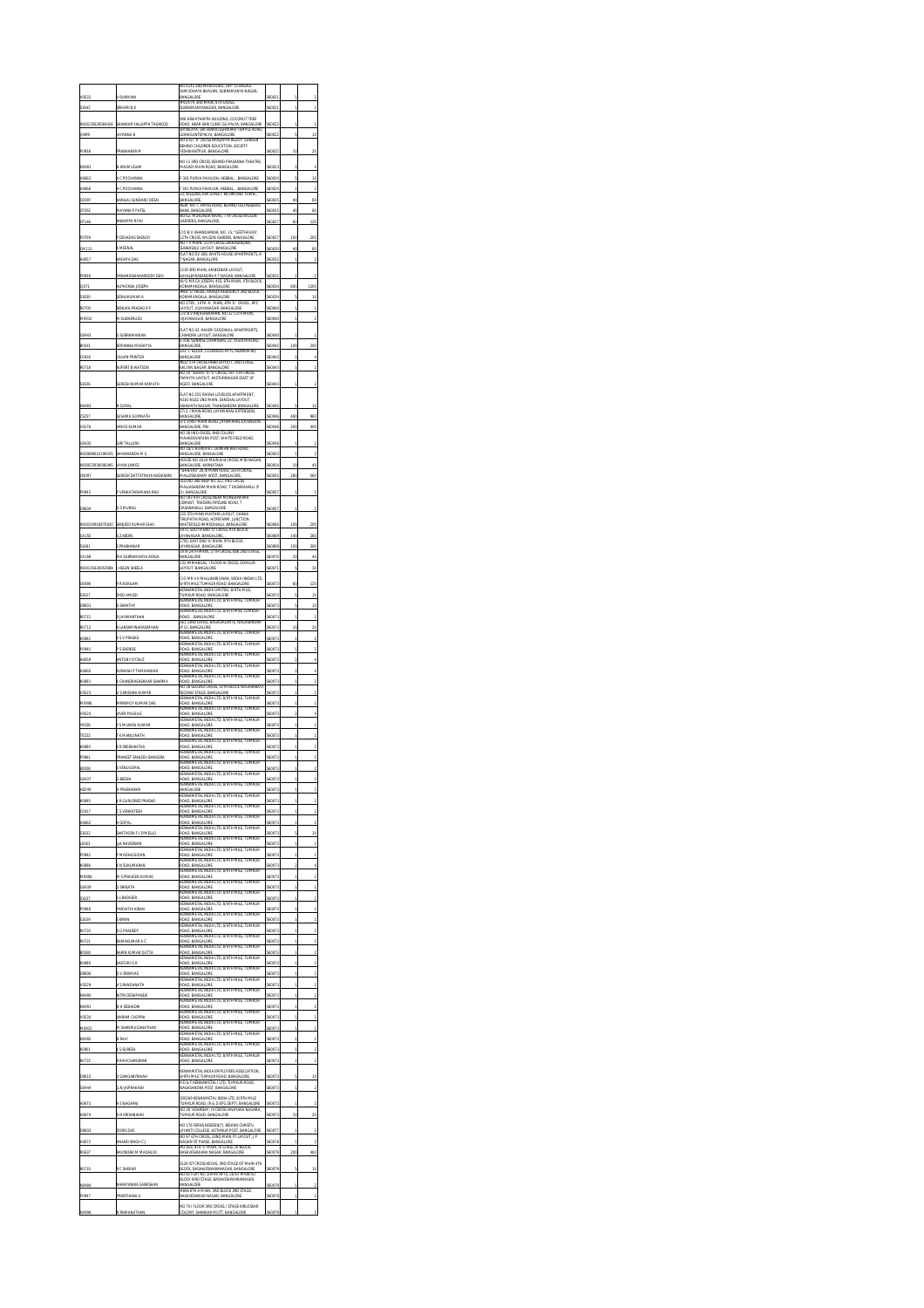|              |                                           | VO 4143 3RD MAIN ROAD, OPP TO BALAGI                                                                                                     |       |        |           |
|--------------|-------------------------------------------|------------------------------------------------------------------------------------------------------------------------------------------|-------|--------|-----------|
|              |                                           | AMUDHAYA BHAVAN, SUBRAMANYA NAGAR<br>BANGALORE                                                                                           |       |        |           |
|              | RIHARI B.K                                | # 4147/A 3RD MAIN, 8TH CROSS<br>SUBRAMANYANAGAR, BANGALORE                                                                               |       |        |           |
|              |                                           | 106 ASWATHAPPA BUILDING, COCONUT TREE                                                                                                    |       |        |           |
|              |                                           | ROAD, NEAR SHRI CLINIC GG PALYA, BANGALORE.<br>SRI NILAYA, SRI VENKATESHWARA TEMPLE ROAD.<br>GORAGUNTEPALYA, BANGALORE                   |       |        |           |
|              |                                           | 'A' CROSS NANJAPPA REDOY. GARDEN<br>BEHIND CHILDREN EDUCATION, SOCIETY                                                                   |       |        |           |
|              |                                           | ESHWANTPUR, BANGALORI                                                                                                                    |       |        |           |
|              |                                           | NO 11 3RD CROSS, BEHIND PRASANNA THEATRE,<br>MAGADI MAIN ROAD, BANGALORE                                                                 |       |        |           |
|              |                                           | 301 PURVA PAVILION, HEBBAL, , BANGALORE<br>301 PURVA PAVILION, HEBBAL<br>, BANGALORE                                                     |       | ł      |           |
|              |                                           | 23, WELLINGTON STREET, RICHMOND TOWN                                                                                                     |       |        |           |
|              |                                           | BANGALUKE,<br>NEW NO 7, HAYES ROAD, BEHIND OLD RESERVE<br>BANK, BANGALORE<br>NO 62, MUKUNDA                                              |       | u      | <b>gu</b> |
|              | MNAPPA R PA                               | na,<br>IA NIVAS, 7TH CROSS WILSO<br>Oέ<br>GARDENS, BANGALORE                                                                             | 02    | 60     | 121       |
|              |                                           | C/O B.V. BHANDARKAR, NO. 15, "GEETHAVAS",                                                                                                | 0027  |        |           |
|              | P DEVADAS SHENO!                          | 12TH CROSS, WILSON GARDEN, BANGALORE<br>NO 7 V MAIN, 15TH CROSS LAKKASANDRA,<br>BASAJU LAYOUT, BANG<br>ALC6                              |       | 100    | 200       |
|              | ARGHYA DAS                                | FLAT NO D2-508, WHITE HOUSE APARTMENTS, R<br>T NAGAR, BANGALORE                                                                          |       |        |           |
|              |                                           | 1219 3RD MAIN, AMBEDKAR LAYOUT,<br>CAVALBYRASANDRA R T NAGAR. BA                                                                         |       |        |           |
|              | <b>LIPHONSA JOSEPH</b>                    | .<br>V/O MR CA JOSEPH, 455, 8TH MAIN, 4TH BLOCK<br>KORAMANGALA, BANGALORE                                                                | 034   | 600    | 1200      |
|              | SESHUKUMAR A                              | #409 'G' HAZEL, RAHEJA RESIDENCY 3RD BLOCK<br>KORAMANGALA, BANGALORE                                                                     |       | ķ,     | 'n        |
|              | ENUKA PRASAD BI                           | no 2785 , 14th 'a' main, 8th 'e' cross , rec<br>Layout, Vilayanagar, Bangalore<br>C/O B V Rajashekaran, no 22 13th main,                 |       |        |           |
|              | <b>M KUBHERUDU</b>                        | VUAYANAGAR, BANGALORE                                                                                                                    |       |        |           |
|              |                                           | FLAT NO 42, KAVERI GOODWILL APARTMENTS,<br><b>HANDRA LAYOUT, BANGALORE</b>                                                               |       |        |           |
|              |                                           | E-106, SUNRISE CHAMBERS, 22, ULSOOR ROAD<br>RANGALORE                                                                                    |       | 100    |           |
|              | CALVIN PRINTER                            | " BLOCK, COLARADO AF<br>O3<br><b>TS, HENNUR</b><br>BANGALORE                                                                             |       |        |           |
|              | <b>ERT B WATSON</b>                       | 522 5TH CROSS HRER LAYOUT, 2ND STAGE<br>KALYAN NAGAR, BANGALORE<br>KALYAN NAGAR, BANGALORE<br>NO 10 "SUHAS" III "E" CROSS, OFF 5TH CROSS |       |        |           |
|              |                                           | PAPAYYA LAYOUT, KASTURINAGAR (EAST OF<br><b>VGEF), BANGALORE</b>                                                                         |       |        |           |
|              |                                           | FLAT NO 201 RAGNA LOVEUDS APARTMENT,<br>N181-N182 2ND MAIN, SANCHAL LAYOUT                                                               |       |        |           |
|              | N GOPA                                    | ASHWATH NAGAR, THANISANDRA BANGALORE                                                                                                     |       |        |           |
|              |                                           | 27/2, I MAIN ROAD, JAYAMAHAL EXTENSION,<br>5/1. FIRST MAIN ROAD. JAYAMAHAL EXTENSION.                                                    |       |        |           |
|              | <b>INOD KUN</b>                           | BANGALORE, PIN:<br>VO 38 IND CROSS, RHB COLONY                                                                                           |       |        |           |
|              | 1TALLURI                                  | MAHADEVAPURA POST, WHITE FIELD ROAD,<br>BANGALORE                                                                                        |       |        |           |
| 89610199245  | SHIVANANDA M                              | 10 18/2 HURIOPET, LAXMAN RAO ROAD,<br>BANGALORE, BANGALORE                                                                               |       |        |           |
|              | <b>JAYAN JAMI</b>                         | HOUSE NO. 16.1st MAIN. TIND CROSS, MSR NAGAR.<br>BANGALORE, KARNATAKA<br>SHREYAS" 20,XI MAIN ROAD, 16TH CROSS                            |       |        |           |
|              | URESH DATTATR                             | MALLESWARAM WEST, BANGALORE,<br>DLD NO 386 NEW NO 322, IIND CROSS                                                                        |       | 78     |           |
|              | VENKATARA                                 | MALLASANDRA MAIN ROAD, T DASARAHALLI (P<br>O). BANGALORE                                                                                 |       |        |           |
|              | <b>LARINAZI</b>                           | VO 593 9TH CROSS NEAR MINESHWARA<br>CEMENT, TRADERS PIPELINE ROAD, T<br>MSARAHALLI, RANGALORE                                            |       |        |           |
|              |                                           | 225 STH MAIN MAITHRI LAYOUT, CHIKKA<br>TIRUPATHI ROAD, HOPEFARM, JUNCTION                                                                |       |        |           |
|              |                                           | WHITEFIELD IMMEDIHALLI, BANGALORE<br>1973: SOUTH END TY CROSS, 9TH RLOCK                                                                 |       | 100    |           |
|              |                                           | AYANAGAR, BANGALORE,<br>1705. EAST END 'A' MAIN, 9TH BLOCK                                                                               |       | 140    | 28        |
|              | <b>PRABHAKAS</b>                          | <b>AYANAGAR, BANGALORE</b><br>1479 24TH MAIN, 27TH CROSS, BSK 2ND ST                                                                     |       | 150    | 30        |
|              | HELEN SHEET                               | BANGALORE<br>.<br>133 mmmnual, i floor III Cross, Domlur<br>Layout, Bangalore                                                            |       | 5      | 4<br>ı    |
|              |                                           | C/O MR V K MALLIKARJUNAN, WIDIA (INDIA) LTD,                                                                                             |       |        |           |
|              |                                           | 8/9TH MILE TUMKUR ROAD, BANGALORE<br>KENNAMETAL INDIA LIMITED, 8/9TH MILE,                                                               |       |        | 21        |
|              | YED AMJED                                 | TUMKUR ROAD, BANGALORE<br>KENNAMETAL INDIA LTD, 8/9TH                                                                                    |       | ś<br>ś | 10        |
|              |                                           | ROAD, BANGALORE<br>(ENNAMETAL INDIA LTD, 8/9TH MILE TU)<br>R                                                                             | 07    |        | 10        |
|              |                                           | 561 23RD CROSS, BAGALAGUNTE, NAGASANDRA<br>P O). BANGALORE                                                                               |       | to     | 21        |
|              |                                           | WETAL INDIA LTD, 8/9TH MILE,<br>ROAD, BANGALORE                                                                                          | 0073  |        |           |
|              |                                           | (ENNAMETAL INDIA LTD, 8/9TH MILE<br>IOAD, BANGALORE<br>KENNAMETAL INDIA LTD, 8/9TH MILE, TUMKUR                                          |       |        |           |
|              | <b>INTONY D'CRU</b>                       | AD. BANGALORE<br>KENNAMETAL INDIA LTD, 8/9TH MILE, TUMKUR                                                                                | 17    |        |           |
|              | ASH P TAMHANKAR                           | ROAD, BANGALORE<br>KENNAMETAL INDIA LTD: 8/9TH MILE:                                                                                     | 50073 |        |           |
|              | AP SHAPMA                                 | <b>OAD, BANGALORE</b><br>NO 38 SECOND CROSS, 10TH BLOCK NAGARABAVI                                                                       |       |        |           |
|              |                                           | SECOND STAGE, BANGALORE<br>KENNAMETAL INDIA LTD, 8/9TH MILE, TUIMKUR<br>ROAD, BANGALORE                                                  |       |        |           |
|              |                                           | IETAL INDIA LTD, 8/9TH MILE<br><b>CENT</b><br>TUMKUR<br>ROAD, BANGALORE                                                                  |       |        |           |
|              | SULI                                      |                                                                                                                                          |       |        |           |
|              | яки                                       | WETAL INDIA LTD, 8<br>CEND<br><b>IOAD, BANGALORE</b>                                                                                     | J7.   |        |           |
|              |                                           | <b>CENNAMETAL INDIA ITD. S/9TH MILE</b><br>D, BANC<br>ALORS                                                                              |       |        |           |
|              |                                           | KENNAMETAL INDIA LTD, 8/9TH MILE<br>CAD RANCALORD<br>WETAL INDI<br>CEND<br>A LTD, 8/                                                     |       |        |           |
|              |                                           | ROAD, BANGALORI                                                                                                                          |       |        |           |
|              |                                           | .<br>KENNAMETAL INDIA LTD, 8/9TH MILE,<br>ROAD-RANGAI ORE<br>), BA<br>KENNAMETAL INDIA LTD, 8/9TH MILE,<br><b>TUMKUR</b>                 |       |        |           |
|              |                                           | TAL INDIA LTD, 8/9TH MILE,                                                                                                               |       |        |           |
| H0249<br>089 | H PRABHAKAR                               | BANGALORE<br>CENNAMETAL INDIA LTD, 8/9TH MILE,                                                                                           | 56007 |        |           |
| 0041         | ( R GURUSREE PRASAD<br><b>S VENKATESH</b> | D, BA<br>.<br>Kennametal India Ltd, 8/9th mile<br>CAD RANGALORE                                                                          |       |        |           |
| 40662        | A GOPAL                                   | .<br>Metal i<br>'n<br>ALTD, 8<br>9TH M<br>ROAD, BANGALORE                                                                                | 60073 |        |           |
| 51832        | <b>NTHOSH F J D'IMELLO</b>                | .<br>CENNAMETAL INDIA I TD. S/9TH MB F<br>D, BAI                                                                                         |       |        | ı         |
| 10163        | NAVEFMAN                                  | KENNAMETAL INDIA LTD, 8/9TH MILE,<br>CAD RANGALORE<br>METAL IN                                                                           | 07    | ï      |           |
| P0942        | P MADHUSUDAN                              | IDIA LTD, 8/9TH MILE,<br>ROAD, BANGALORE<br>KENNAMETAL INDIA LTD: 8/9TH MILE:                                                            | 0073  | ï      |           |
|              | K N SUKUMARAN                             | ROAD, BANGALORE<br>KENNAMETAL INDIA LTD. 8/9TH MILE.<br><b>AKLIR</b>                                                                     |       |        |           |
| 60439        | A S PRAVEEN KUMAR<br>G SRINATH            | <b>OAD, BANGALORE</b><br>KENNAMETAL INDIA LTD. 8/9TH MILE<br>ROAD, BANGALORE                                                             | n7    |        |           |
| 5183         | S L BADIGER                               | ETAL INDIA LTD. 8/9TH MILE<br>CF N                                                                                                       |       | ï      |           |
|              | ARVATHI KIRAN                             | <b>ROAD, BANGALORE</b><br>KENNAMETAL INDU<br>WETAL INDIA LTD, 8<br><b>OAD, BANGALORE</b>                                                 | n7    | ï      |           |
|              |                                           | KENNAMETAL INDIA LTD, 8/9TH MILE<br>AD, BANGALORE                                                                                        |       |        |           |
|              | R G PRADEEP                               | KENNAMETAL INDIA LTD. 8/9TH MILE<br>ROAD, BANGALORE<br>WETAL INDIA LTD, 8                                                                | 07:   | ï      |           |
|              | ANYI BAAD A                               | ROAD, BANGALORE<br>DIA LTD. 8/9TH MILE                                                                                                   |       |        |           |
|              | ARIN KUMAR DUTT                           | INDI<br>V.ORI<br>έŴ<br>ïЪ<br>KENNAMETAL INDIA LTD, 8/9TH MILE,<br><b>TUMKUR</b>                                                          |       |        |           |
|              | KASTURI G R                               | ROAD, BANGALORE<br>εı<br>A LTD. 8/9TH MILE.                                                                                              |       | ï      |           |
|              | D V<br>SRINIVA                            | ROAD, BANGALORE<br>(ENNAMETAL INDIA LTD, 8/9TH MILE<br>s<br>BAI                                                                          | 073   | ï      |           |
|              | VITIN DESHPANI                            | KENNAMETAL INDIA LTD, 8/9TH MILE,<br><b>TUMKUR</b>                                                                                       |       |        |           |
|              | N H SESHADRI                              | ROAD, BANGALORE<br>KENNAMETAL INDI<br>A LTD, 8/9TH MILE,<br>ROAD, BANGALORE                                                              | 0073  | ï      |           |
|              | M CHOP                                    | <b>CENNAMETAL INDIA LTD: 8/9TH MILE</b><br>AD, BANGALORE<br>KENNAMETAL INDIA LTD, 8/9TH MILE,<br><b>TUMKUR</b>                           |       |        |           |
|              | SHANMUGANATHA                             | <b>OAD, BANGALORE</b><br>IETAL INDIA LTD, 8/9TH MILE,<br>ŒNI                                                                             | 07    | ï      |           |
| NO49.        | N RAVI                                    | ROAD, BANGALORE<br>KENNAMETAL INDIA LTD. 8/9TH MILE. TUMKUR                                                                              | 60073 | ï      |           |
|              | <b>SURESH</b>                             | <b>OAD, BANGALORE</b><br>KENNAMETAL INDIA LTD, 8/9TH MILE, TUMKUR                                                                        |       |        |           |
| RO722        | R RAVICHAND                               | <b>TOAD, BANGALORE</b><br>KENNAMETAL INDIA EMPLOYEES ASSOCIATION,                                                                        |       |        |           |
| DO610        | <b>GANGABYRAIAH</b>                       | RENNWIG TO<br>B/9TH MILE TUMKUR ROAD, BANGALORE,<br>R D & F KENNAMETAL I LTD, TUMKUR ROAD                                                | 17:   |        | īΟ        |
| 6044         | G N JAIPRAKASH                            | NAGASANDRA POST, BANGALORE                                                                                                               |       |        |           |
| 40673        |                                           | 200269 KENNAMETAL INDIA LTD. 8/9TH MILE<br>R ROAD, (R & D EPG DEPT), B<br>UMKU                                                           |       |        |           |
| 40674        | A N KRISHNAIAH                            | NO 30 'ADARSHA', III CROSS VINAYAKA NAGARA,<br>TUMKUR ROAD, BANGALORE                                                                    |       | to     | 20        |
| DO603        | DORIS DAS                                 | NO 176 FERNS RESIDENCY, BEHIND CHRISTU                                                                                                   |       |        |           |
|              | ANAND SINGH C                             | MOTIVE AND ALSO CONTRACT, SAN HAD CHASSING ORD.<br>NO 97 6TH CROSS, 32ND MAIN ITI LAYOUT, J P<br>NAGAR IST PHASE, BANGALORE              |       |        |           |
|              | VINDRA M MADHI                            | VO.818, 8TH 'C' MAIN, III STAGE, III BLOCK<br><b>HWARA NAGAR, BANG</b><br>ALORI                                                          |       |        |           |
| RO710        | <b>C SHEKAR</b>                           | S124 IST CROSS KECHS, 3RD STAGE IST MAIN 4TH                                                                                             |       |        | ı         |
|              |                                           | BLOCK, BASAWESWARANAGAR, BANGALORE<br>NO 81 FLAT NO 104 RV APTS, 26 IST MAIN IST<br>BLOCK IIRD STAGE, BASAVESHWARANAGAR,                 |       |        |           |
|              |                                           | # 896 STH A MAIN, 3RD BLOCK 3RD STAGE,                                                                                                   |       |        |           |
| P0947        | <b>RARTHANA U</b>                         | BASAVESHWAR NAGAR, BANGALORE<br>NO 70 I FLOOR 3RD CROSS, I STAGE KIRLOSKAR<br>OLONY, SHANKAR MUTT, BANGALI                               |       |        |           |